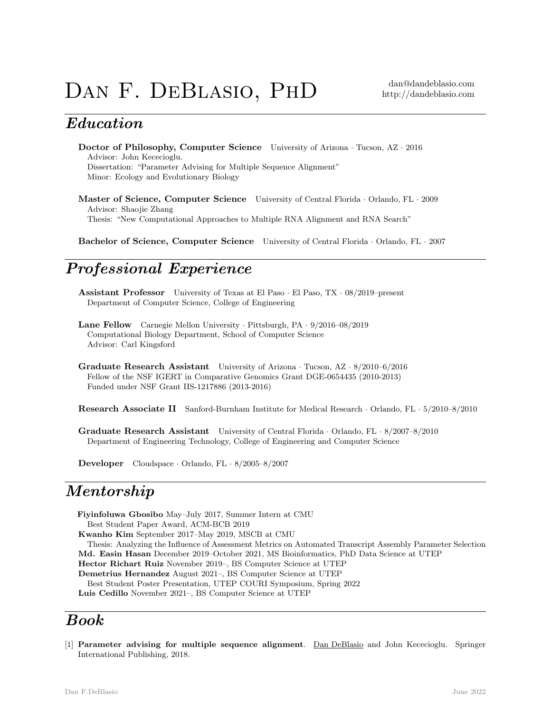# DAN F. DEBLASIO, PHD dan@dandeblasio.com

# Education

Doctor of Philosophy, Computer Science University of Arizona · Tucson, AZ · 2016 Advisor: John Kececioglu. Dissertation: "Parameter Advising for Multiple Sequence Alignment" Minor: Ecology and Evolutionary Biology

Master of Science, Computer Science University of Central Florida · Orlando, FL · 2009 Advisor: Shaojie Zhang Thesis: "New Computational Approaches to Multiple RNA Alignment and RNA Search"

Bachelor of Science, Computer Science University of Central Florida · Orlando, FL · 2007

# Professional Experience

Assistant Professor University of Texas at El Paso · El Paso, TX · 08/2019–present Department of Computer Science, College of Engineering

Lane Fellow Carnegie Mellon University · Pittsburgh, PA · 9/2016–08/2019 Computational Biology Department, School of Computer Science Advisor: Carl Kingsford

Graduate Research Assistant University of Arizona · Tucson, AZ · 8/2010–6/2016 Fellow of the NSF IGERT in Comparative Genomics Grant DGE-0654435 (2010-2013) Funded under NSF Grant IIS-1217886 (2013-2016)

Research Associate II Sanford-Burnham Institute for Medical Research · Orlando, FL · 5/2010–8/2010

Graduate Research Assistant University of Central Florida · Orlando, FL · 8/2007–8/2010 Department of Engineering Technology, College of Engineering and Computer Science

Developer Cloudspace · Orlando, FL · 8/2005–8/2007

### Mentorship

Fiyinfoluwa Gbosibo May–July 2017, Summer Intern at CMU Best Student Paper Award, ACM-BCB 2019 Kwanho Kim September 2017–May 2019, MSCB at CMU Thesis: Analyzing the Influence of Assessment Metrics on Automated Transcript Assembly Parameter Selection Md. Easin Hasan December 2019–October 2021, MS Bioinformatics, PhD Data Science at UTEP Hector Richart Ruiz November 2019–, BS Computer Science at UTEP Demetrius Hernandez August 2021–, BS Computer Science at UTEP Best Student Poster Presentation, UTEP COURI Symposium, Spring 2022 Luis Cedillo November 2021–, BS Computer Science at UTEP

## Book

[1] Parameter advising for multiple sequence alignment. Dan DeBlasio and John Kececioglu. Springer International Publishing, 2018.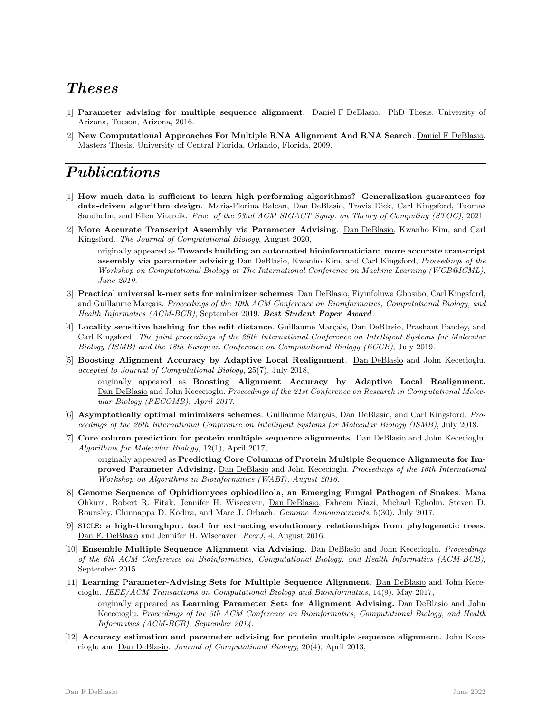## Theses

- [1] Parameter advising for multiple sequence alignment. Daniel F DeBlasio. PhD Thesis. University of Arizona, Tucson, Arizona, 2016.
- [2] New Computational Approaches For Multiple RNA Alignment And RNA Search. Daniel F DeBlasio. Masters Thesis. University of Central Florida, Orlando, Florida, 2009.

# Publications

- [1] How much data is sufficient to learn high-performing algorithms? Generalization guarantees for data-driven algorithm design. Maria-Florina Balcan, Dan DeBlasio, Travis Dick, Carl Kingsford, Tuomas Sandholm, and Ellen Vitercik. Proc. of the 53nd ACM SIGACT Symp. on Theory of Computing (STOC), 2021.
- [2] More Accurate Transcript Assembly via Parameter Advising. Dan DeBlasio, Kwanho Kim, and Carl Kingsford. The Journal of Computational Biology, August 2020,

originally appeared as Towards building an automated bioinformatician: more accurate transcript assembly via parameter advising Dan DeBlasio, Kwanho Kim, and Carl Kingsford, Proceedings of the Workshop on Computational Biology at The International Conference on Machine Learning (WCB@ICML), June 2019.

- [3] Practical universal k-mer sets for minimizer schemes. Dan DeBlasio, Fiyinfoluwa Gbosibo, Carl Kingsford, and Guillaume Marçais. Proceedings of the 10th ACM Conference on Bioinformatics, Computational Biology, and Health Informatics (ACM-BCB), September 2019. Best Student Paper Award.
- [4] Locality sensitive hashing for the edit distance. Guillaume Marçais, Dan DeBlasio, Prashant Pandey, and Carl Kingsford. The joint proceedings of the 26th International Conference on Intelligent Systems for Molecular Biology (ISMB) and the 18th European Conference on Computational Biology (ECCB), July 2019.
- [5] Boosting Alignment Accuracy by Adaptive Local Realignment. Dan DeBlasio and John Kececioglu. accepted to Journal of Computational Biology, 25(7), July 2018,

originally appeared as Boosting Alignment Accuracy by Adaptive Local Realignment. Dan DeBlasio and John Kececioglu. Proceedings of the 21st Conference on Research in Computational Molecular Biology (RECOMB), April 2017.

- [6] Asymptotically optimal minimizers schemes. Guillaume Marçais, Dan DeBlasio, and Carl Kingsford. Proceedings of the 26th International Conference on Intelligent Systems for Molecular Biology (ISMB), July 2018.
- [7] Core column prediction for protein multiple sequence alignments. Dan DeBlasio and John Kececioglu. Algorithms for Molecular Biology, 12(1), April 2017, originally appeared as Predicting Core Columns of Protein Multiple Sequence Alignments for Im-

proved Parameter Advising. Dan DeBlasio and John Kececioglu. Proceedings of the 16th International Workshop on Algorithms in Bioinformatics (WABI), August 2016.

- [8] Genome Sequence of Ophidiomyces ophiodiicola, an Emerging Fungal Pathogen of Snakes. Mana Ohkura, Robert R. Fitak, Jennifer H. Wisecaver, Dan DeBlasio, Faheem Niazi, Michael Egholm, Steven D. Rounsley, Chinnappa D. Kodira, and Marc J. Orbach. Genome Announcements, 5(30), July 2017.
- [9] SICLE: a high-throughput tool for extracting evolutionary relationships from phylogenetic trees. Dan F. DeBlasio and Jennifer H. Wisecaver. PeerJ, 4, August 2016.
- [10] Ensemble Multiple Sequence Alignment via Advising. Dan DeBlasio and John Kececioglu. Proceedings of the 6th ACM Conference on Bioinformatics, Computational Biology, and Health Informatics (ACM-BCB), September 2015.
- [11] Learning Parameter-Advising Sets for Multiple Sequence Alignment. Dan DeBlasio and John Kececioglu. IEEE/ACM Transactions on Computational Biology and Bioinformatics, 14(9), May 2017,

originally appeared as Learning Parameter Sets for Alignment Advising. Dan DeBlasio and John Kececioglu. Proceedings of the 5th ACM Conference on Bioinformatics, Computational Biology, and Health Informatics (ACM-BCB), September 2014.

[12] Accuracy estimation and parameter advising for protein multiple sequence alignment. John Kececioglu and Dan DeBlasio. Journal of Computational Biology, 20(4), April 2013,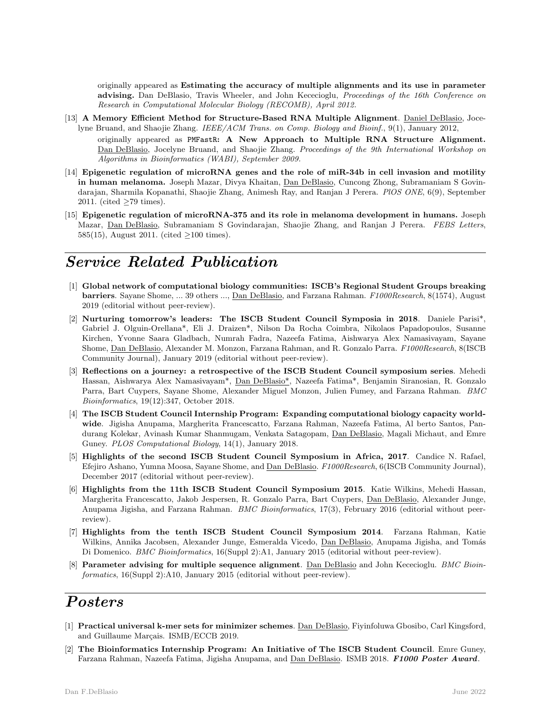originally appeared as Estimating the accuracy of multiple alignments and its use in parameter advising. Dan DeBlasio, Travis Wheeler, and John Kececioglu, Proceedings of the 16th Conference on Research in Computational Molecular Biology (RECOMB), April 2012.

[13] A Memory Efficient Method for Structure-Based RNA Multiple Alignment. Daniel DeBlasio, Jocelyne Bruand, and Shaojie Zhang. IEEE/ACM Trans. on Comp. Biology and Bioinf., 9(1), January 2012,

originally appeared as PMFastR: A New Approach to Multiple RNA Structure Alignment. Dan DeBlasio, Jocelyne Bruand, and Shaojie Zhang. Proceedings of the 9th International Workshop on Algorithms in Bioinformatics (WABI), September 2009.

- [14] Epigenetic regulation of microRNA genes and the role of miR-34b in cell invasion and motility in human melanoma. Joseph Mazar, Divya Khaitan, Dan DeBlasio, Cuncong Zhong, Subramaniam S Govindarajan, Sharmila Kopanathi, Shaojie Zhang, Animesh Ray, and Ranjan J Perera. PlOS ONE, 6(9), September 2011. (cited ≥79 times).
- [15] Epigenetic regulation of microRNA-375 and its role in melanoma development in humans. Joseph Mazar, Dan DeBlasio, Subramaniam S Govindarajan, Shaojie Zhang, and Ranjan J Perera. FEBS Letters, 585(15), August 2011. (cited ≥100 times).

# Service Related Publication

- [1] Global network of computational biology communities: ISCB's Regional Student Groups breaking barriers. Sayane Shome, ... 39 others ..., Dan DeBlasio, and Farzana Rahman. F1000Research, 8(1574), August 2019 (editorial without peer-review).
- [2] Nurturing tomorrow's leaders: The ISCB Student Council Symposia in 2018. Daniele Parisi\*, Gabriel J. Olguin-Orellana\*, Eli J. Draizen\*, Nilson Da Rocha Coimbra, Nikolaos Papadopoulos, Susanne Kirchen, Yvonne Saara Gladbach, Numrah Fadra, Nazeefa Fatima, Aishwarya Alex Namasivayam, Sayane Shome, Dan DeBlasio, Alexander M. Monzon, Farzana Rahman, and R. Gonzalo Parra. F1000Research, 8(ISCB Community Journal), January 2019 (editorial without peer-review).
- [3] Reflections on a journey: a retrospective of the ISCB Student Council symposium series. Mehedi Hassan, Aishwarya Alex Namasivayam\*, Dan DeBlasio\*, Nazeefa Fatima\*, Benjamin Siranosian, R. Gonzalo Parra, Bart Cuypers, Sayane Shome, Alexander Miguel Monzon, Julien Fumey, and Farzana Rahman. BMC Bioinformatics, 19(12):347, October 2018.
- [4] The ISCB Student Council Internship Program: Expanding computational biology capacity worldwide. Jigisha Anupama, Margherita Francescatto, Farzana Rahman, Nazeefa Fatima, Al berto Santos, Pandurang Kolekar, Avinash Kumar Shanmugam, Venkata Satagopam, Dan DeBlasio, Magali Michaut, and Emre Guney. PLOS Computational Biology, 14(1), January 2018.
- [5] Highlights of the second ISCB Student Council Symposium in Africa, 2017. Candice N. Rafael, Efejiro Ashano, Yumna Moosa, Sayane Shome, and Dan DeBlasio. F1000Research, 6(ISCB Community Journal), December 2017 (editorial without peer-review).
- [6] Highlights from the 11th ISCB Student Council Symposium 2015. Katie Wilkins, Mehedi Hassan, Margherita Francescatto, Jakob Jespersen, R. Gonzalo Parra, Bart Cuypers, Dan DeBlasio, Alexander Junge, Anupama Jigisha, and Farzana Rahman. BMC Bioinformatics, 17(3), February 2016 (editorial without peerreview).
- [7] Highlights from the tenth ISCB Student Council Symposium 2014. Farzana Rahman, Katie Wilkins, Annika Jacobsen, Alexander Junge, Esmeralda Vicedo, Dan DeBlasio, Anupama Jigisha, and Tomás Di Domenico. BMC Bioinformatics, 16(Suppl 2):A1, January 2015 (editorial without peer-review).
- [8] Parameter advising for multiple sequence alignment. Dan DeBlasio and John Kececioglu. BMC Bioinformatics, 16(Suppl 2):A10, January 2015 (editorial without peer-review).

## Posters

- [1] Practical universal k-mer sets for minimizer schemes. Dan DeBlasio, Fiyinfoluwa Gbosibo, Carl Kingsford, and Guillaume Marçais. ISMB/ECCB 2019.
- [2] The Bioinformatics Internship Program: An Initiative of The ISCB Student Council. Emre Guney, Farzana Rahman, Nazeefa Fatima, Jigisha Anupama, and Dan DeBlasio. ISMB 2018. F1000 Poster Award.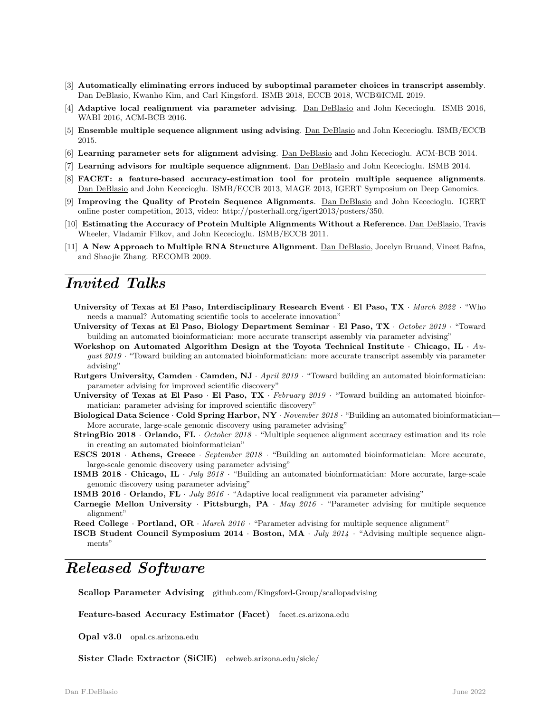- [3] Automatically eliminating errors induced by suboptimal parameter choices in transcript assembly. Dan DeBlasio, Kwanho Kim, and Carl Kingsford. ISMB 2018, ECCB 2018, WCB@ICML 2019.
- [4] Adaptive local realignment via parameter advising. Dan DeBlasio and John Kececioglu. ISMB 2016, WABI 2016, ACM-BCB 2016.
- [5] Ensemble multiple sequence alignment using advising. Dan DeBlasio and John Kececioglu. ISMB/ECCB 2015.
- [6] Learning parameter sets for alignment advising. Dan DeBlasio and John Kececioglu. ACM-BCB 2014.
- [7] Learning advisors for multiple sequence alignment. Dan DeBlasio and John Kececioglu. ISMB 2014.
- [8] FACET: a feature-based accuracy-estimation tool for protein multiple sequence alignments. Dan DeBlasio and John Kececioglu. ISMB/ECCB 2013, MAGE 2013, IGERT Symposium on Deep Genomics.
- [9] Improving the Quality of Protein Sequence Alignments. Dan DeBlasio and John Kececioglu. IGERT online poster competition, 2013, video: http://posterhall.org/igert2013/posters/350.
- [10] Estimating the Accuracy of Protein Multiple Alignments Without a Reference. Dan DeBlasio, Travis Wheeler, Vladamir Filkov, and John Kececioglu. ISMB/ECCB 2011.
- [11] A New Approach to Multiple RNA Structure Alignment. Dan DeBlasio, Jocelyn Bruand, Vineet Bafna, and Shaojie Zhang. RECOMB 2009.

### Invited Talks

- University of Texas at El Paso, Interdisciplinary Research Event · El Paso, TX · March 2022 · "Who needs a manual? Automating scientific tools to accelerate innovation"
- University of Texas at El Paso, Biology Department Seminar · El Paso, TX · October 2019 · "Toward building an automated bioinformatician: more accurate transcript assembly via parameter advising"
- Workshop on Automated Algorithm Design at the Toyota Technical Institute  $\cdot$  Chicago, IL  $\cdot$  August 2019 · "Toward building an automated bioinformatician: more accurate transcript assembly via parameter advising"
- Rutgers University, Camden · Camden, NJ · April  $2019$  · "Toward building an automated bioinformatician: parameter advising for improved scientific discovery"
- University of Texas at El Paso · El Paso,  $TX \cdot February$  2019 · "Toward building an automated bioinformatician: parameter advising for improved scientific discovery"
- Biological Data Science · Cold Spring Harbor, NY · November 2018 · "Building an automated bioinformatician-More accurate, large-scale genomic discovery using parameter advising"
- StringBio 2018 · Orlando, FL · October  $2018$  · "Multiple sequence alignment accuracy estimation and its role in creating an automated bioinformatician"
- ESCS 2018 · Athens, Greece · September 2018 · "Building an automated bioinformatician: More accurate, large-scale genomic discovery using parameter advising"
- ISMB 2018 · Chicago, IL · July  $2018$  · "Building an automated bioinformatician: More accurate, large-scale genomic discovery using parameter advising"
- **ISMB 2016** · Orlando, FL · July  $2016$  · "Adaptive local realignment via parameter advising"
- Carnegie Mellon University · Pittsburgh, PA · May 2016 · "Parameter advising for multiple sequence alignment"

Reed College · Portland, OR · March 2016 · "Parameter advising for multiple sequence alignment"

**ISCB Student Council Symposium 2014 · Boston, MA**  $\cdot$  *July 2014* · "Advising multiple sequence alignments"

### Released Software

Scallop Parameter Advising github.com/Kingsford-Group/scallopadvising

Feature-based Accuracy Estimator (Facet) facet.cs.arizona.edu

Opal v3.0 opal.cs.arizona.edu

Sister Clade Extractor (SiClE) eebweb.arizona.edu/sicle/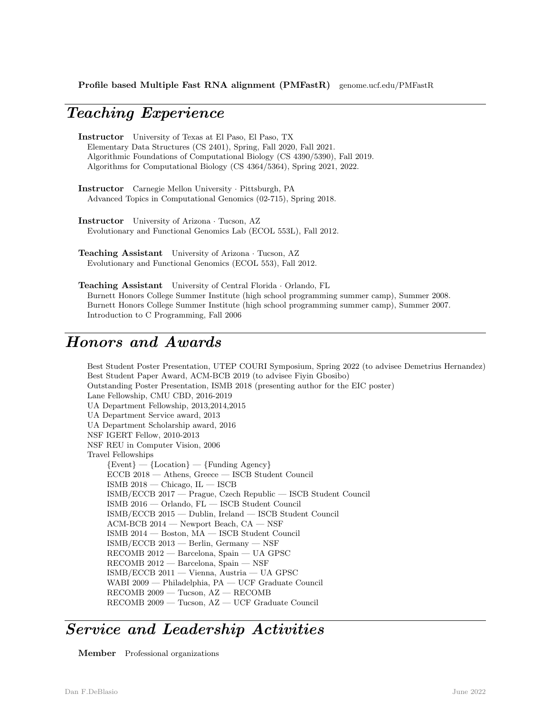#### Teaching Experience

Instructor University of Texas at El Paso, El Paso, TX Elementary Data Structures (CS 2401), Spring, Fall 2020, Fall 2021. Algorithmic Foundations of Computational Biology (CS 4390/5390), Fall 2019. Algorithms for Computational Biology (CS 4364/5364), Spring 2021, 2022.

Instructor Carnegie Mellon University · Pittsburgh, PA Advanced Topics in Computational Genomics (02-715), Spring 2018.

Instructor University of Arizona · Tucson, AZ Evolutionary and Functional Genomics Lab (ECOL 553L), Fall 2012.

Teaching Assistant University of Arizona · Tucson, AZ Evolutionary and Functional Genomics (ECOL 553), Fall 2012.

Teaching Assistant University of Central Florida · Orlando, FL Burnett Honors College Summer Institute (high school programming summer camp), Summer 2008. Burnett Honors College Summer Institute (high school programming summer camp), Summer 2007. Introduction to C Programming, Fall 2006

#### Honors and Awards

Best Student Poster Presentation, UTEP COURI Symposium, Spring 2022 (to advisee Demetrius Hernandez) Best Student Paper Award, ACM-BCB 2019 (to advisee Fiyin Gbosibo) Outstanding Poster Presentation, ISMB 2018 (presenting author for the EIC poster) Lane Fellowship, CMU CBD, 2016-2019 UA Department Fellowship, 2013,2014,2015 UA Department Service award, 2013 UA Department Scholarship award, 2016 NSF IGERT Fellow, 2010-2013 NSF REU in Computer Vision, 2006 Travel Fellowships  ${Event} - {Location} - {Funding Agency}$ ECCB 2018 — Athens, Greece — ISCB Student Council ISMB 2018 — Chicago, IL — ISCB ISMB/ECCB 2017 — Prague, Czech Republic — ISCB Student Council ISMB 2016 — Orlando, FL — ISCB Student Council ISMB/ECCB 2015 — Dublin, Ireland — ISCB Student Council ACM-BCB 2014 — Newport Beach, CA — NSF ISMB 2014 — Boston, MA — ISCB Student Council ISMB/ECCB 2013 — Berlin, Germany — NSF RECOMB 2012 — Barcelona, Spain — UA GPSC RECOMB 2012 — Barcelona, Spain — NSF ISMB/ECCB 2011 — Vienna, Austria — UA GPSC WABI 2009 — Philadelphia, PA — UCF Graduate Council RECOMB 2009 — Tucson, AZ — RECOMB RECOMB 2009 — Tucson, AZ — UCF Graduate Council

### Service and Leadership Activities

Member Professional organizations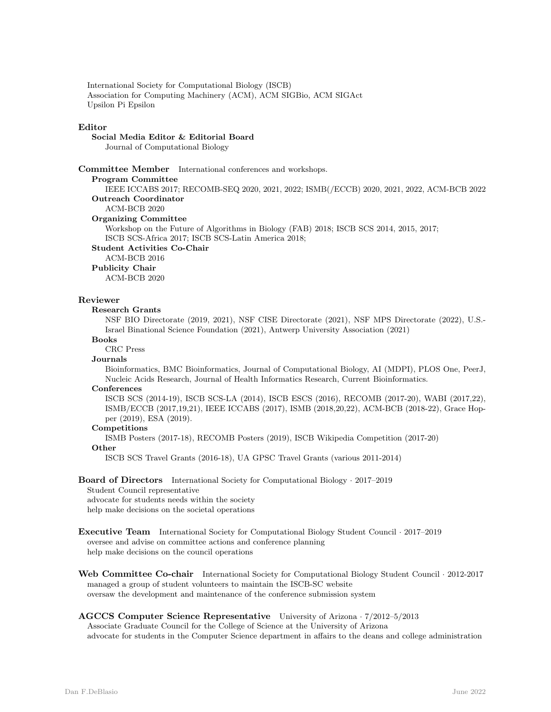International Society for Computational Biology (ISCB) Association for Computing Machinery (ACM), ACM SIGBio, ACM SIGAct Upsilon Pi Epsilon

#### Editor

Social Media Editor & Editorial Board Journal of Computational Biology

Committee Member International conferences and workshops.

Program Committee

IEEE ICCABS 2017; RECOMB-SEQ 2020, 2021, 2022; ISMB(/ECCB) 2020, 2021, 2022, ACM-BCB 2022 Outreach Coordinator ACM-BCB 2020

Organizing Committee

Workshop on the Future of Algorithms in Biology (FAB) 2018; ISCB SCS 2014, 2015, 2017; ISCB SCS-Africa 2017; ISCB SCS-Latin America 2018;

Student Activities Co-Chair

ACM-BCB 2016

Publicity Chair

ACM-BCB 2020

#### Reviewer

Research Grants

NSF BIO Directorate (2019, 2021), NSF CISE Directorate (2021), NSF MPS Directorate (2022), U.S.- Israel Binational Science Foundation (2021), Antwerp University Association (2021)

Books

CRC Press

#### **Journals**

Bioinformatics, BMC Bioinformatics, Journal of Computational Biology, AI (MDPI), PLOS One, PeerJ, Nucleic Acids Research, Journal of Health Informatics Research, Current Bioinformatics.

#### Conferences

ISCB SCS (2014-19), ISCB SCS-LA (2014), ISCB ESCS (2016), RECOMB (2017-20), WABI (2017,22), ISMB/ECCB (2017,19,21), IEEE ICCABS (2017), ISMB (2018,20,22), ACM-BCB (2018-22), Grace Hopper (2019), ESA (2019).

#### Competitions

ISMB Posters (2017-18), RECOMB Posters (2019), ISCB Wikipedia Competition (2017-20) **Other** 

ISCB SCS Travel Grants (2016-18), UA GPSC Travel Grants (various 2011-2014)

#### Board of Directors International Society for Computational Biology · 2017–2019

Student Council representative

advocate for students needs within the society

help make decisions on the societal operations

Web Committee Co-chair International Society for Computational Biology Student Council · 2012-2017 managed a group of student volunteers to maintain the ISCB-SC website oversaw the development and maintenance of the conference submission system

#### AGCCS Computer Science Representative University of Arizona · 7/2012–5/2013

Associate Graduate Council for the College of Science at the University of Arizona advocate for students in the Computer Science department in affairs to the deans and college administration

Executive Team International Society for Computational Biology Student Council · 2017–2019 oversee and advise on committee actions and conference planning help make decisions on the council operations